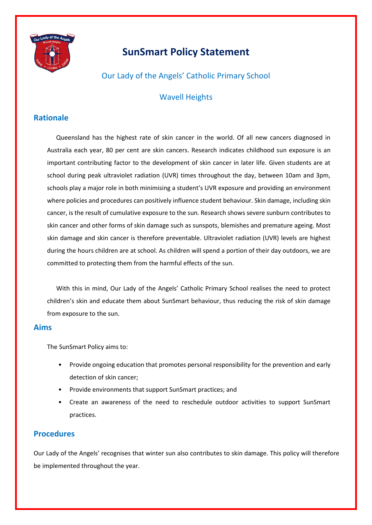

# **SunSmart Policy Statement**

Our Lady of the Angels' Catholic Primary School

## Wavell Heights

### **Rationale**

Queensland has the highest rate of skin cancer in the world. Of all new cancers diagnosed in Australia each year, 80 per cent are skin cancers. Research indicates childhood sun exposure is an important contributing factor to the development of skin cancer in later life. Given students are at school during peak ultraviolet radiation (UVR) times throughout the day, between 10am and 3pm, schools play a major role in both minimising a student's UVR exposure and providing an environment where policies and procedures can positively influence student behaviour. Skin damage, including skin cancer, is the result of cumulative exposure to the sun. Research shows severe sunburn contributes to skin cancer and other forms of skin damage such as sunspots, blemishes and premature ageing. Most skin damage and skin cancer is therefore preventable. Ultraviolet radiation (UVR) levels are highest during the hours children are at school. As children will spend a portion of their day outdoors, we are committed to protecting them from the harmful effects of the sun.

With this in mind, Our Lady of the Angels' Catholic Primary School realises the need to protect children's skin and educate them about SunSmart behaviour, thus reducing the risk of skin damage from exposure to the sun.

#### **Aims**

The SunSmart Policy aims to:

- Provide ongoing education that promotes personal responsibility for the prevention and early detection of skin cancer;
- Provide environments that support SunSmart practices; and
- Create an awareness of the need to reschedule outdoor activities to support SunSmart practices.

#### **Procedures**

Our Lady of the Angels' recognises that winter sun also contributes to skin damage. This policy will therefore be implemented throughout the year.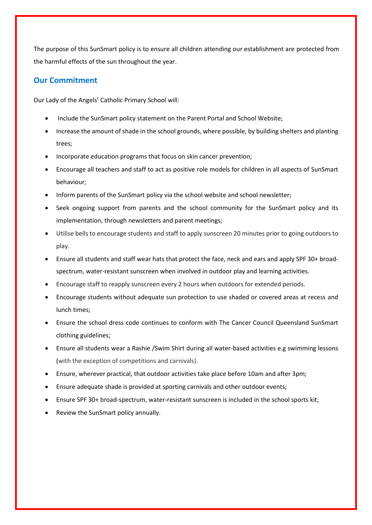The purpose of this SunSmart policy is to ensure all children attending our establishment are protected from the harmful effects of the sun throughout the year.

### **Our Commitment**

Our Lady of the Angels' Catholic Primary School will:

- Include the SunSmart policy statement on the Parent Portal and School Website;
- Increase the amount of shade in the school grounds, where possible, by building shelters and planting trees;
- Incorporate education programs that focus on skin cancer prevention;
- Encourage all teachers and staff to act as positive role models for children in all aspects of SunSmart behaviour;
- Inform parents of the SunSmart policy via the school website and school newsletter;
- Seek ongoing support from parents and the school community for the SunSmart policy and its implementation, through newsletters and parent meetings;
- Utilise bells to encourage students and staff to apply sunscreen 20 minutes prior to going outdoors to play.
- Ensure all students and staff wear hats that protect the face, neck and ears and apply SPF 30+ broadspectrum, water-resistant sunscreen when involved in outdoor play and learning activities.
- Encourage staff to reapply sunscreen every 2 hours when outdoors for extended periods.
- Encourage students without adequate sun protection to use shaded or covered areas at recess and lunch times;
- Ensure the school dress code continues to conform with The Cancer Council Queensland SunSmart clothing guidelines;
- Ensure all students wear a Rashie /Swim Shirt during all water-based activities e.g swimming lessons (with the exception of competitions and carnivals).
- Ensure, wherever practical, that outdoor activities take place before 10am and after 3pm;
- Ensure adequate shade is provided at sporting carnivals and other outdoor events;
- Ensure SPF 30+ broad-spectrum, water-resistant sunscreen is included in the school sports kit;
- Review the SunSmart policy annually.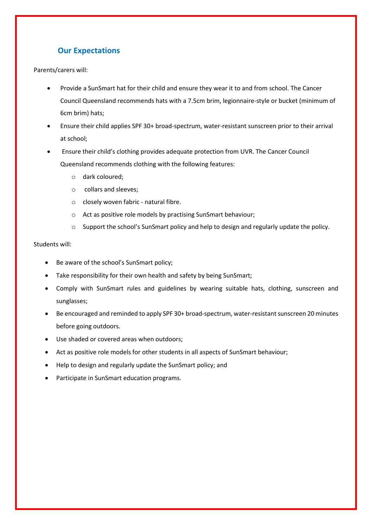## **Our Expectations**

Parents/carers will:

- Provide a SunSmart hat for their child and ensure they wear it to and from school. The Cancer Council Queensland recommends hats with a 7.5cm brim, legionnaire-style or bucket (minimum of 6cm brim) hats;
- Ensure their child applies SPF 30+ broad-spectrum, water-resistant sunscreen prior to their arrival at school;
- Ensure their child's clothing provides adequate protection from UVR. The Cancer Council Queensland recommends clothing with the following features:
	- o dark coloured;
	- o collars and sleeves;
	- o closely woven fabric natural fibre.
	- o Act as positive role models by practising SunSmart behaviour;
	- $\circ$  Support the school's SunSmart policy and help to design and regularly update the policy.

#### Students will:

- Be aware of the school's SunSmart policy;
- Take responsibility for their own health and safety by being SunSmart;
- Comply with SunSmart rules and guidelines by wearing suitable hats, clothing, sunscreen and sunglasses;
- Be encouraged and reminded to apply SPF 30+ broad-spectrum, water-resistant sunscreen 20 minutes before going outdoors.
- Use shaded or covered areas when outdoors;
- Act as positive role models for other students in all aspects of SunSmart behaviour;
- Help to design and regularly update the SunSmart policy; and
- Participate in SunSmart education programs.